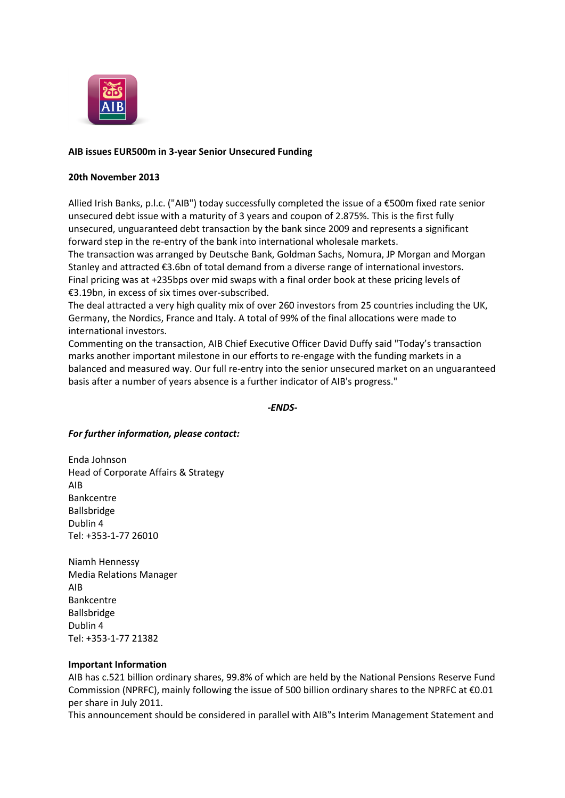

# **AIB issues EUR500m in 3-year Senior Unsecured Funding**

## **20th November 2013**

Allied Irish Banks, p.l.c. ("AIB") today successfully completed the issue of a €500m fixed rate senior unsecured debt issue with a maturity of 3 years and coupon of 2.875%. This is the first fully unsecured, unguaranteed debt transaction by the bank since 2009 and represents a significant forward step in the re-entry of the bank into international wholesale markets.

The transaction was arranged by Deutsche Bank, Goldman Sachs, Nomura, JP Morgan and Morgan Stanley and attracted €3.6bn of total demand from a diverse range of international investors. Final pricing was at +235bps over mid swaps with a final order book at these pricing levels of €3.19bn, in excess of six times over-subscribed.

The deal attracted a very high quality mix of over 260 investors from 25 countries including the UK, Germany, the Nordics, France and Italy. A total of 99% of the final allocations were made to international investors.

Commenting on the transaction, AIB Chief Executive Officer David Duffy said "Today's transaction marks another important milestone in our efforts to re-engage with the funding markets in a balanced and measured way. Our full re-entry into the senior unsecured market on an unguaranteed basis after a number of years absence is a further indicator of AIB's progress."

### *-ENDS-*

## *For further information, please contact:*

Enda Johnson Head of Corporate Affairs & Strategy AIB Bankcentre Ballsbridge Dublin 4 Tel: +353-1-77 26010

Niamh Hennessy Media Relations Manager AIB Bankcentre Ballsbridge Dublin 4 Tel: +353-1-77 21382

### **Important Information**

AIB has c.521 billion ordinary shares, 99.8% of which are held by the National Pensions Reserve Fund Commission (NPRFC), mainly following the issue of 500 billion ordinary shares to the NPRFC at €0.01 per share in July 2011.

This announcement should be considered in parallel with AIB"s Interim Management Statement and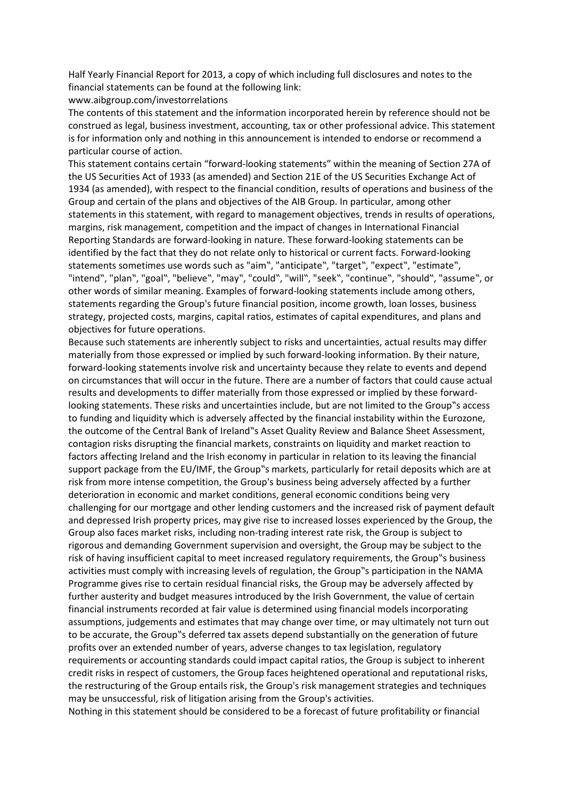Half Yearly Financial Report for 2013, a copy of which including full disclosures and notes to the financial statements can be found at the following link:

#### www.aibgroup.com/investorrelations

The contents of this statement and the information incorporated herein by reference should not be construed as legal, business investment, accounting, tax or other professional advice. This statement is for information only and nothing in this announcement is intended to endorse or recommend a particular course of action.

This statement contains certain "forward-looking statements" within the meaning of Section 27A of the US Securities Act of 1933 (as amended) and Section 21E of the US Securities Exchange Act of 1934 (as amended), with respect to the financial condition, results of operations and business of the Group and certain of the plans and objectives of the AIB Group. In particular, among other statements in this statement, with regard to management objectives, trends in results of operations, margins, risk management, competition and the impact of changes in International Financial Reporting Standards are forward-looking in nature. These forward-looking statements can be identified by the fact that they do not relate only to historical or current facts. Forward-looking statements sometimes use words such as "aim", "anticipate", "target", "expect", "estimate", "intend", "plan", "goal", "believe", "may", "could", "will", "seek", "continue", "should", "assume", or other words of similar meaning. Examples of forward-looking statements include among others, statements regarding the Group's future financial position, income growth, loan losses, business strategy, projected costs, margins, capital ratios, estimates of capital expenditures, and plans and objectives for future operations.

Because such statements are inherently subject to risks and uncertainties, actual results may differ materially from those expressed or implied by such forward-looking information. By their nature, forward-looking statements involve risk and uncertainty because they relate to events and depend on circumstances that will occur in the future. There are a number of factors that could cause actual results and developments to differ materially from those expressed or implied by these forwardlooking statements. These risks and uncertainties include, but are not limited to the Group"s access to funding and liquidity which is adversely affected by the financial instability within the Eurozone, the outcome of the Central Bank of Ireland"s Asset Quality Review and Balance Sheet Assessment, contagion risks disrupting the financial markets, constraints on liquidity and market reaction to factors affecting Ireland and the Irish economy in particular in relation to its leaving the financial support package from the EU/IMF, the Group"s markets, particularly for retail deposits which are at risk from more intense competition, the Group's business being adversely affected by a further deterioration in economic and market conditions, general economic conditions being very challenging for our mortgage and other lending customers and the increased risk of payment default and depressed Irish property prices, may give rise to increased losses experienced by the Group, the Group also faces market risks, including non-trading interest rate risk, the Group is subject to rigorous and demanding Government supervision and oversight, the Group may be subject to the risk of having insufficient capital to meet increased regulatory requirements, the Group"s business activities must comply with increasing levels of regulation, the Group"s participation in the NAMA Programme gives rise to certain residual financial risks, the Group may be adversely affected by further austerity and budget measures introduced by the Irish Government, the value of certain financial instruments recorded at fair value is determined using financial models incorporating assumptions, judgements and estimates that may change over time, or may ultimately not turn out to be accurate, the Group"s deferred tax assets depend substantially on the generation of future profits over an extended number of years, adverse changes to tax legislation, regulatory requirements or accounting standards could impact capital ratios, the Group is subject to inherent credit risks in respect of customers, the Group faces heightened operational and reputational risks, the restructuring of the Group entails risk, the Group's risk management strategies and techniques may be unsuccessful, risk of litigation arising from the Group's activities.

Nothing in this statement should be considered to be a forecast of future profitability or financial